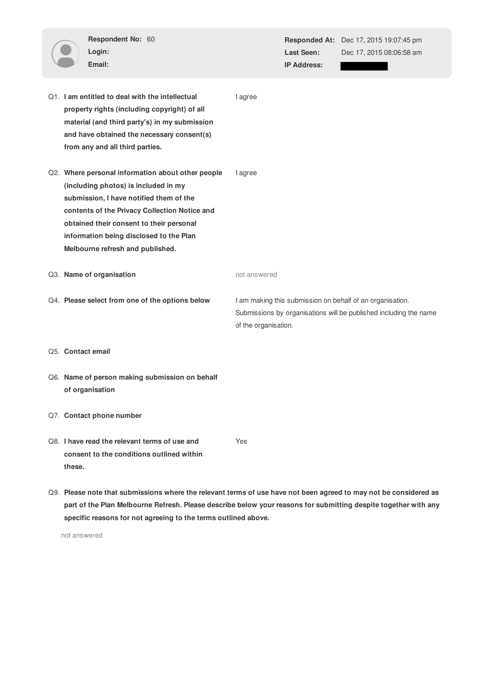|        | Respondent No: 60<br>Login:<br>Email:                                                                                                                                                                                                                                                                            |                      | Last Seen:<br><b>IP Address:</b> | <b>Responded At:</b> Dec 17, 2015 19:07:45 pm<br>Dec 17, 2015 08:06:58 am                                                      |
|--------|------------------------------------------------------------------------------------------------------------------------------------------------------------------------------------------------------------------------------------------------------------------------------------------------------------------|----------------------|----------------------------------|--------------------------------------------------------------------------------------------------------------------------------|
|        | Q1. I am entitled to deal with the intellectual<br>property rights (including copyright) of all<br>material (and third party's) in my submission<br>and have obtained the necessary consent(s)<br>from any and all third parties.                                                                                | I agree              |                                  |                                                                                                                                |
|        | Q2. Where personal information about other people<br>(including photos) is included in my<br>submission, I have notified them of the<br>contents of the Privacy Collection Notice and<br>obtained their consent to their personal<br>information being disclosed to the Plan<br>Melbourne refresh and published. | I agree              |                                  |                                                                                                                                |
|        | Q3. Name of organisation                                                                                                                                                                                                                                                                                         | not answered         |                                  |                                                                                                                                |
|        | Q4. Please select from one of the options below                                                                                                                                                                                                                                                                  | of the organisation. |                                  | I am making this submission on behalf of an organisation.<br>Submissions by organisations will be published including the name |
|        | Q5. Contact email                                                                                                                                                                                                                                                                                                |                      |                                  |                                                                                                                                |
|        | Q6. Name of person making submission on behalf<br>of organisation                                                                                                                                                                                                                                                |                      |                                  |                                                                                                                                |
|        | Q7. Contact phone number                                                                                                                                                                                                                                                                                         |                      |                                  |                                                                                                                                |
| these. | Q8. I have read the relevant terms of use and<br>consent to the conditions outlined within                                                                                                                                                                                                                       | Yes                  |                                  |                                                                                                                                |

Q9. **Please note that submissions where the relevant terms of use have not been agreed to may not be considered as part of the Plan Melbourne Refresh. Please describe below your reasons for submitting despite together with any specific reasons for not agreeing to the terms outlined above.**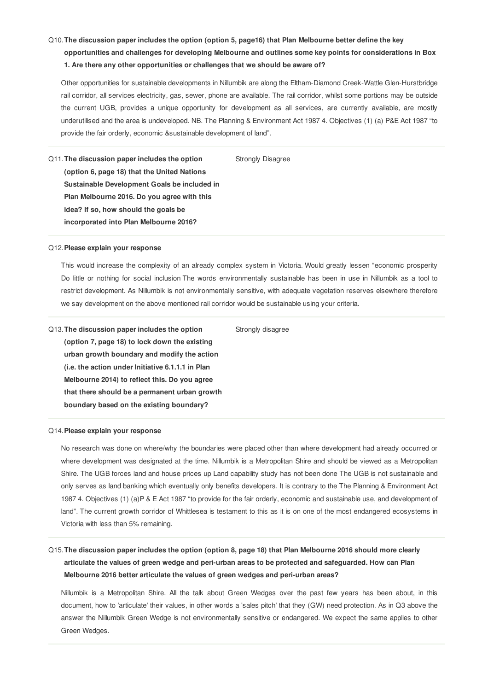# Q10.**The discussion paper includes the option (option 5, page16) that Plan Melbourne better define the key**

**opportunities and challenges for developing Melbourne and outlines some key points for considerations in Box 1. Are there any other opportunities or challenges that we should be aware of?**

Other opportunities for sustainable developments in Nillumbik are along the Eltham-Diamond Creek-Wattle Glen-Hurstbridge rail corridor, all services electricity, gas, sewer, phone are available. The rail corridor, whilst some portions may be outside the current UGB, provides a unique opportunity for development as all services, are currently available, are mostly underutilised and the area is undeveloped. NB. The Planning & Environment Act 1987 4. Objectives (1) (a) P&E Act 1987 "to provide the fair orderly, economic &sustainable development of land".

Strongly Disagree

Q11.**The discussion paper includes the option (option 6, page 18) that the United Nations Sustainable Development Goals be included in Plan Melbourne 2016. Do you agree with this idea? If so, how should the goals be incorporated into Plan Melbourne 2016?**

#### Q12.**Please explain your response**

This would increase the complexity of an already complex system in Victoria. Would greatly lessen "economic prosperity Do little or nothing for social inclusion The words environmentally sustainable has been in use in Nillumbik as a tool to restrict development. As Nillumbik is not environmentally sensitive, with adequate vegetation reserves elsewhere therefore we say development on the above mentioned rail corridor would be sustainable using your criteria.

Strongly disagree

Q13.**The discussion paper includes the option (option 7, page 18) to lock down the existing urban growth boundary and modify the action (i.e. the action under Initiative 6.1.1.1 in Plan Melbourne 2014) to reflect this. Do you agree that there should be a permanent urban growth boundary based on the existing boundary?**

#### Q14.**Please explain your response**

No research was done on where/why the boundaries were placed other than where development had already occurred or where development was designated at the time. Nillumbik is a Metropolitan Shire and should be viewed as a Metropolitan Shire. The UGB forces land and house prices up Land capability study has not been done The UGB is not sustainable and only serves as land banking which eventually only benefits developers. It is contrary to the The Planning & Environment Act 1987 4. Objectives (1) (a)P & E Act 1987 "to provide for the fair orderly, economic and sustainable use, and development of land". The current growth corridor of Whittlesea is testament to this as it is on one of the most endangered ecosystems in Victoria with less than 5% remaining.

# Q15. The discussion paper includes the option (option 8, page 18) that Plan Melbourne 2016 should more clearly **articulate the values of green wedge and peri-urban areas to be protected and safeguarded. How can Plan Melbourne 2016 better articulate the values of green wedges and peri-urban areas?**

Nillumbik is a Metropolitan Shire. All the talk about Green Wedges over the past few years has been about, in this document, how to 'articulate' their values, in other words a 'sales pitch' that they (GW) need protection. As in Q3 above the answer the Nillumbik Green Wedge is not environmentally sensitive or endangered. We expect the same applies to other Green Wedges.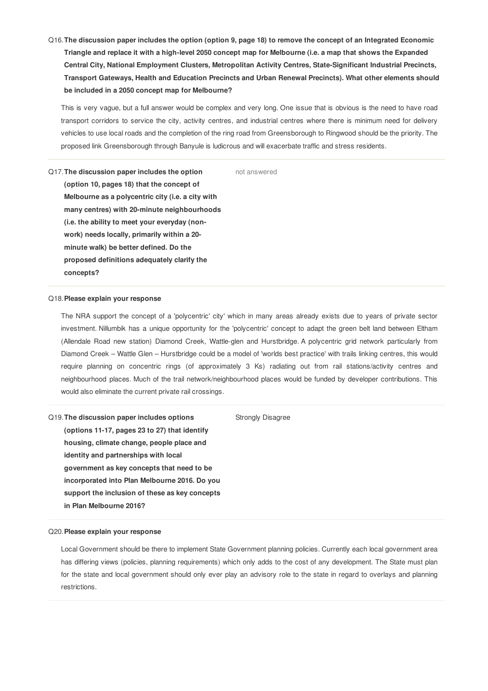Q16. The discussion paper includes the option (option 9, page 18) to remove the concept of an Integrated Economic Triangle and replace it with a high-level 2050 concept map for Melbourne (i.e. a map that shows the Expanded **Central City, National Employment Clusters, Metropolitan Activity Centres, State-Significant Industrial Precincts, Transport Gateways, Health and Education Precincts and Urban Renewal Precincts). What other elements should be included in a 2050 concept map for Melbourne?**

This is very vague, but a full answer would be complex and very long. One issue that is obvious is the need to have road transport corridors to service the city, activity centres, and industrial centres where there is minimum need for delivery vehicles to use local roads and the completion of the ring road from Greensborough to Ringwood should be the priority. The proposed link Greensborough through Banyule is ludicrous and will exacerbate traffic and stress residents.

not answered

Q17.**The discussion paper includes the option (option 10, pages 18) that the concept of Melbourne as a polycentric city (i.e. a city with many centres) with 20-minute neighbourhoods (i.e. the ability to meet your everyday (nonwork) needs locally, primarily within a 20 minute walk) be better defined. Do the proposed definitions adequately clarify the concepts?**

# Q18.**Please explain your response**

The NRA support the concept of a 'polycentric' city' which in many areas already exists due to years of private sector investment. Nillumbik has a unique opportunity for the 'polycentric' concept to adapt the green belt land between Eltham (Allendale Road new station) Diamond Creek, Wattle-glen and Hurstbridge. A polycentric grid network particularly from Diamond Creek – Wattle Glen – Hurstbridge could be a model of 'worlds best practice' with trails linking centres, this would require planning on concentric rings (of approximately 3 Ks) radiating out from rail stations/activity centres and neighbourhood places. Much of the trail network/neighbourhood places would be funded by developer contributions. This would also eliminate the current private rail crossings.

Q19.**The discussion paper includes options (options 11-17, pages 23 to 27) that identify housing, climate change, people place and identity and partnerships with local government as key concepts that need to be incorporated into Plan Melbourne 2016. Do you support the inclusion of these as key concepts in Plan Melbourne 2016?**

Strongly Disagree

#### Q20.**Please explain your response**

Local Government should be there to implement State Government planning policies. Currently each local government area has differing views (policies, planning requirements) which only adds to the cost of any development. The State must plan for the state and local government should only ever play an advisory role to the state in regard to overlays and planning restrictions.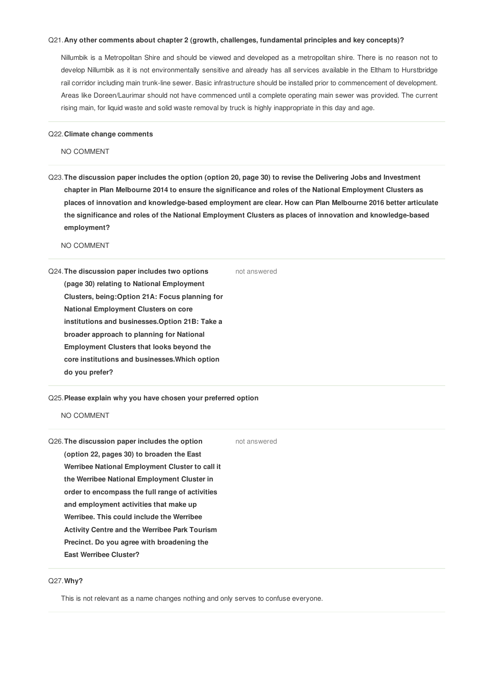# Q21.**Any other comments about chapter 2 (growth, challenges, fundamental principles and key concepts)?**

Nillumbik is a Metropolitan Shire and should be viewed and developed as a metropolitan shire. There is no reason not to develop Nillumbik as it is not environmentally sensitive and already has all services available in the Eltham to Hurstbridge rail corridor including main trunk-line sewer. Basic infrastructure should be installed prior to commencement of development. Areas like Doreen/Laurimar should not have commenced until a complete operating main sewer was provided. The current rising main, for liquid waste and solid waste removal by truck is highly inappropriate in this day and age.

#### Q22.**Climate change comments**

NO COMMENT

Q23. The discussion paper includes the option (option 20, page 30) to revise the Delivering Jobs and Investment chapter in Plan Melbourne 2014 to ensure the significance and roles of the National Employment Clusters as **places of innovation and knowledge-based employment are clear. How can Plan Melbourne 2016 better articulate the significance and roles of the National Employment Clusters as places of innovation and knowledge-based employment?**

NO COMMENT

Q24.**The discussion paper includes two options (page 30) relating to National Employment Clusters, being:Option 21A: Focus planning for National Employment Clusters on core institutions and businesses.Option 21B: Take a broader approach to planning for National Employment Clusters that looks beyond the core institutions and businesses.Which option do you prefer?** not answered

## Q25.**Please explain why you have chosen your preferred option**

NO COMMENT

| Q26. The discussion paper includes the option        | not answered |
|------------------------------------------------------|--------------|
| (option 22, pages 30) to broaden the East            |              |
| Werribee National Employment Cluster to call it      |              |
| the Werribee National Employment Cluster in          |              |
| order to encompass the full range of activities      |              |
| and employment activities that make up               |              |
| Werribee. This could include the Werribee            |              |
| <b>Activity Centre and the Werribee Park Tourism</b> |              |
| Precinct. Do you agree with broadening the           |              |
| <b>East Werribee Cluster?</b>                        |              |
|                                                      |              |

# Q27.**Why?**

This is not relevant as a name changes nothing and only serves to confuse everyone.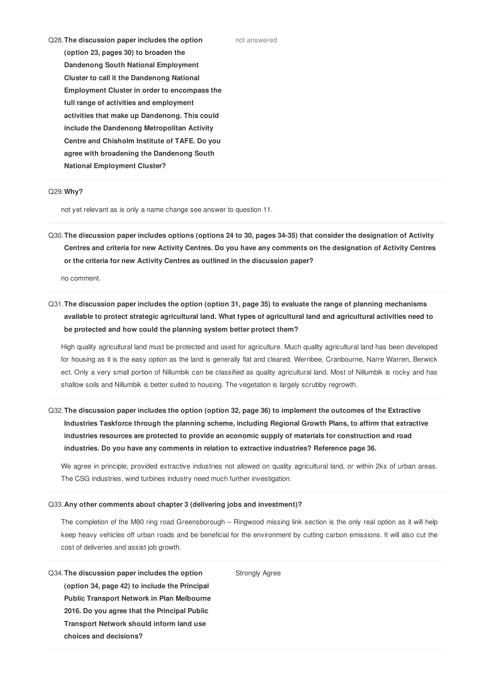Q28.**The discussion paper includes the option (option 23, pages 30) to broaden the Dandenong South National Employment Cluster to call it the Dandenong National Employment Cluster in order to encompass the full range of activities and employment activities that make up Dandenong. This could include the Dandenong Metropolitan Activity Centre and Chisholm Institute of TAFE. Do you agree with broadening the Dandenong South National Employment Cluster?**

## Q29.**Why?**

not yet relevant as is only a name change see answer to question 11.

Q30. The discussion paper includes options (options 24 to 30, pages 34-35) that consider the designation of Activity Centres and criteria for new Activity Centres. Do you have any comments on the designation of Activity Centres **or the criteria for new Activity Centres as outlined in the discussion paper?**

no comment.

Q31. The discussion paper includes the option (option 31, page 35) to evaluate the range of planning mechanisms available to protect strategic agricultural land. What types of agricultural land and agricultural activities need to **be protected and how could the planning system better protect them?**

High quality agricultural land must be protected and used for agriculture. Much quality agricultural land has been developed for housing as it is the easy option as the land is generally flat and cleared. Werribee, Cranbourne, Narre Warren, Berwick ect. Only a very small portion of Nillumbik can be classified as quality agricultural land. Most of Nillumbik is rocky and has shallow soils and Nillumbik is better suited to housing. The vegetation is largely scrubby regrowth.

Q32. The discussion paper includes the option (option 32, page 36) to implement the outcomes of the Extractive **Industries Taskforce through the planning scheme, including Regional Growth Plans, to affirm that extractive industries resources are protected to provide an economic supply of materials for construction and road industries. Do you have any comments in relation to extractive industries? Reference page 36.**

We agree in principle, provided extractive industries not allowed on quality agricultural land, or within 2ks of urban areas. The CSG industries, wind turbines industry need much further investigation.

# Q33.**Any other comments about chapter 3 (delivering jobs and investment)?**

The completion of the M80 ring road Greensborough – Ringwood missing link section is the only real option as it will help keep heavy vehicles off urban roads and be beneficial for the environment by cutting carbon emissions. It will also cut the cost of deliveries and assist job growth.

Strongly Agree

Q34.**The discussion paper includes the option (option 34, page 42) to include the Principal Public Transport Network in Plan Melbourne 2016. Do you agree that the Principal Public Transport Network should inform land use choices and decisions?**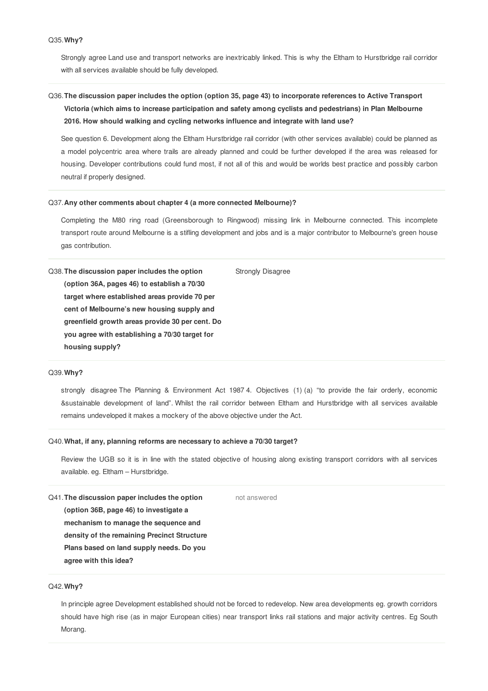# Q35.**Why?**

Strongly agree Land use and transport networks are inextricably linked. This is why the Eltham to Hurstbridge rail corridor with all services available should be fully developed.

# Q36.**The discussion paper includes the option (option 35, page 43) to incorporate references to Active Transport Victoria (which aims to increase participation and safety among cyclists and pedestrians) in Plan Melbourne 2016. How should walking and cycling networks influence and integrate with land use?**

See question 6. Development along the Eltham Hurstbridge rail corridor (with other services available) could be planned as a model polycentric area where trails are already planned and could be further developed if the area was released for housing. Developer contributions could fund most, if not all of this and would be worlds best practice and possibly carbon neutral if properly designed.

## Q37.**Any other comments about chapter 4 (a more connected Melbourne)?**

Completing the M80 ring road (Greensborough to Ringwood) missing link in Melbourne connected. This incomplete transport route around Melbourne is a stifling development and jobs and is a major contributor to Melbourne's green house gas contribution.

Q38.**The discussion paper includes the option (option 36A, pages 46) to establish a 70/30 target where established areas provide 70 per cent of Melbourne's new housing supply and greenfield growth areas provide 30 per cent. Do you agree with establishing a 70/30 target for housing supply?** Strongly Disagree

### Q39.**Why?**

strongly disagree The Planning & Environment Act 1987 4. Objectives (1) (a) "to provide the fair orderly, economic &sustainable development of land". Whilst the rail corridor between Eltham and Hurstbridge with all services available remains undeveloped it makes a mockery of the above objective under the Act.

#### Q40.**What, if any, planning reforms are necessary to achieve a 70/30 target?**

Review the UGB so it is in line with the stated objective of housing along existing transport corridors with all services available. eg. Eltham – Hurstbridge.

Q41.**The discussion paper includes the option (option 36B, page 46) to investigate a mechanism to manage the sequence and density of the remaining Precinct Structure Plans based on land supply needs. Do you agree with this idea?** not answered

# Q42.**Why?**

In principle agree Development established should not be forced to redevelop. New area developments eg. growth corridors should have high rise (as in major European cities) near transport links rail stations and major activity centres. Eg South Morang.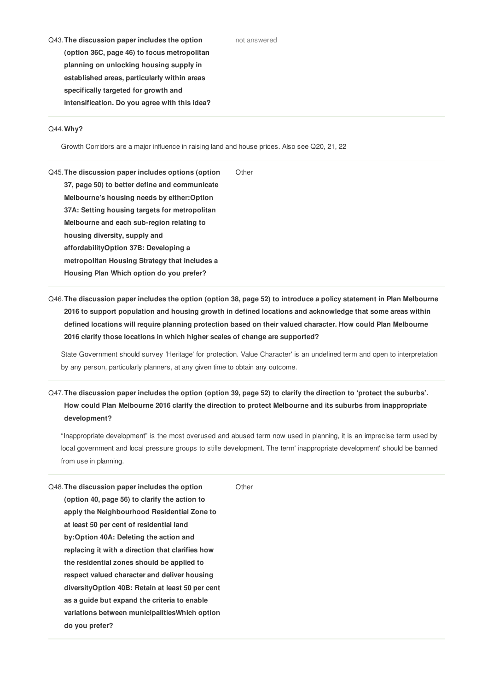#### not answered

Q43.**The discussion paper includes the option (option 36C, page 46) to focus metropolitan planning on unlocking housing supply in established areas, particularly within areas specifically targeted for growth and intensification. Do you agree with this idea?**

# Q44.**Why?**

Growth Corridors are a major influence in raising land and house prices. Also see Q20, 21, 22

Q45.**The discussion paper includes options (option 37, page 50) to better define and communicate Melbourne's housing needs by either:Option 37A: Setting housing targets for metropolitan Melbourne and each sub-region relating to housing diversity, supply and affordabilityOption 37B: Developing a metropolitan Housing Strategy that includes a Housing Plan Which option do you prefer? Other** 

Q46. The discussion paper includes the option (option 38, page 52) to introduce a policy statement in Plan Melbourne **2016 to support population and housing growth in defined locations and acknowledge that some areas within defined locations will require planning protection based on their valued character. How could Plan Melbourne 2016 clarify those locations in which higher scales of change are supported?**

State Government should survey 'Heritage' for protection. Value Character' is an undefined term and open to interpretation by any person, particularly planners, at any given time to obtain any outcome.

Q47. The discussion paper includes the option (option 39, page 52) to clarify the direction to 'protect the suburbs'. **How could Plan Melbourne 2016 clarify the direction to protect Melbourne and its suburbs from inappropriate development?**

"Inappropriate development" is the most overused and abused term now used in planning, it is an imprecise term used by local government and local pressure groups to stifle development. The term' inappropriate development' should be banned from use in planning.

| Q48. The discussion paper includes the option     | Other |
|---------------------------------------------------|-------|
| (option 40, page 56) to clarify the action to     |       |
| apply the Neighbourhood Residential Zone to       |       |
| at least 50 per cent of residential land          |       |
| by: Option 40A: Deleting the action and           |       |
| replacing it with a direction that clarifies how  |       |
| the residential zones should be applied to        |       |
| respect valued character and deliver housing      |       |
| diversity Option 40B: Retain at least 50 per cent |       |
| as a quide but expand the criteria to enable      |       |
| variations between municipalities Which option    |       |
| do you prefer?                                    |       |
|                                                   |       |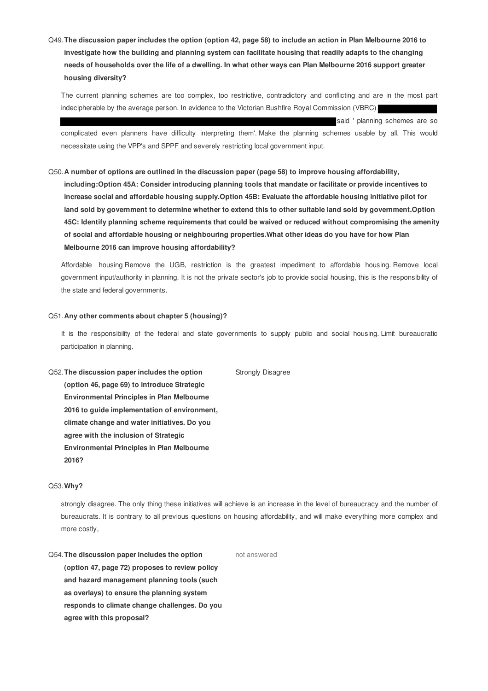Q49.**The discussion paper includes the option (option 42, page 58) to include an action in Plan Melbourne 2016 to investigate how the building and planning system can facilitate housing that readily adapts to the changing needs of households over the life of a dwelling. In what other ways can Plan Melbourne 2016 support greater housing diversity?**

The current planning schemes are too complex, too restrictive, contradictory and conflicting and are in the most part indecipherable by the average person. In evidence to the Victorian Bushfire Royal Commission (VBRC)

said ' planning schemes are so

complicated even planners have difficulty interpreting them'. Make the planning schemes usable by all. This would necessitate using the VPP's and SPPF and severely restricting local government input.

#### Q50.**A number of options are outlined in the discussion paper (page 58) to improve housing affordability,**

**including:Option 45A: Consider introducing planning tools that mandate or facilitate or provide incentives to increase social and affordable housing supply.Option 45B: Evaluate the affordable housing initiative pilot for land sold by government to determine whether to extend this to other suitable land sold by government.Option 45C: Identify planning scheme requirements that could be waived or reduced without compromising the amenity of social and affordable housing or neighbouring properties.What other ideas do you have for how Plan Melbourne 2016 can improve housing affordability?**

Affordable housing Remove the UGB, restriction is the greatest impediment to affordable housing. Remove local government input/authority in planning. It is not the private sector's job to provide social housing, this is the responsibility of the state and federal governments.

#### Q51.**Any other comments about chapter 5 (housing)?**

It is the responsibility of the federal and state governments to supply public and social housing. Limit bureaucratic participation in planning.

Q52.**The discussion paper includes the option (option 46, page 69) to introduce Strategic Environmental Principles in Plan Melbourne 2016 to guide implementation of environment, climate change and water initiatives. Do you agree with the inclusion of Strategic Environmental Principles in Plan Melbourne 2016?** Strongly Disagree

# Q53.**Why?**

strongly disagree. The only thing these initiatives will achieve is an increase in the level of bureaucracy and the number of bureaucrats. It is contrary to all previous questions on housing affordability, and will make everything more complex and more costly,

Q54.**The discussion paper includes the option (option 47, page 72) proposes to review policy and hazard management planning tools (such as overlays) to ensure the planning system responds to climate change challenges. Do you agree with this proposal?** not answered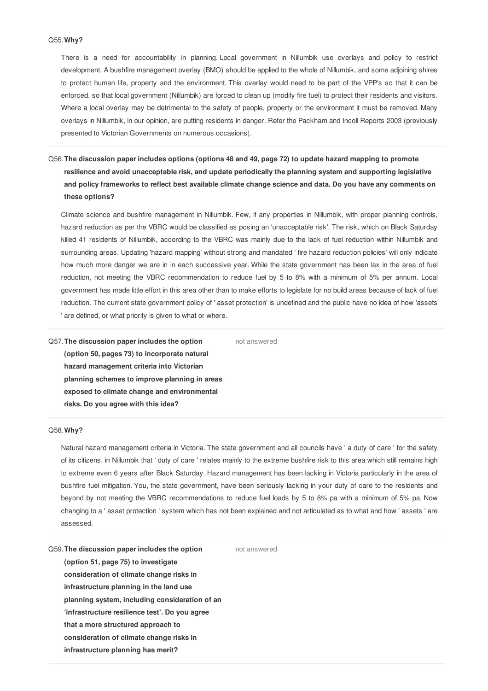# Q55.**Why?**

There is a need for accountability in planning. Local government in Nillumbik use overlays and policy to restrict development. A bushfire management overlay (BMO) should be applied to the whole of Nillumbik, and some adjoining shires to protect human life, property and the environment. This overlay would need to be part of the VPP's so that it can be enforced, so that local government (Nillumbik) are forced to clean up (modify fire fuel) to protect their residents and visitors. Where a local overlay may be detrimental to the safety of people, property or the environment it must be removed. Many overlays in Nillumbik, in our opinion, are putting residents in danger. Refer the Packham and Incoll Reports 2003 (previously presented to Victorian Governments on numerous occasions).

# Q56. The discussion paper includes options (options 48 and 49, page 72) to update hazard mapping to promote **resilience and avoid unacceptable risk, and update periodically the planning system and supporting legislative** and policy frameworks to reflect best available climate change science and data. Do you have any comments on **these options?**

Climate science and bushfire management in Nillumbik. Few, if any properties in Nillumbik, with proper planning controls, hazard reduction as per the VBRC would be classified as posing an 'unacceptable risk'. The risk, which on Black Saturday killed 41 residents of Nillumbik, according to the VBRC was mainly due to the lack of fuel reduction within Nillumbik and surrounding areas. Updating 'hazard mapping' without strong and mandated ' fire hazard reduction policies' will only indicate how much more danger we are in in each successive year. While the state government has been lax in the area of fuel reduction, not meeting the VBRC recommendation to reduce fuel by 5 to 8% with a minimum of 5% per annum. Local government has made little effort in this area other than to make efforts to legislate for no build areas because of lack of fuel reduction. The current state government policy of ' asset protection' is undefined and the public have no idea of how 'assets ' are defined, or what priority is given to what or where.

not answered

Q57.**The discussion paper includes the option (option 50, pages 73) to incorporate natural hazard management criteria into Victorian planning schemes to improve planning in areas exposed to climate change and environmental risks. Do you agree with this idea?**

# Q58.**Why?**

Natural hazard management criteria in Victoria. The state government and all councils have ' a duty of care ' for the safety of its citizens, in Nillumbik that ' duty of care ' relates mainly to the extreme bushfire risk to this area which still remains high to extreme even 6 years after Black Saturday. Hazard management has been lacking in Victoria particularly in the area of bushfire fuel mitigation. You, the state government, have been seriously lacking in your duty of care to the residents and beyond by not meeting the VBRC recommendations to reduce fuel loads by 5 to 8% pa with a minimum of 5% pa. Now changing to a ' asset protection ' system which has not been explained and not articulated as to what and how ' assets ' are assessed.

Q59.**The discussion paper includes the option (option 51, page 75) to investigate consideration of climate change risks in infrastructure planning in the land use planning system, including consideration of an 'infrastructure resilience test'. Do you agree that a more structured approach to consideration of climate change risks in infrastructure planning has merit?**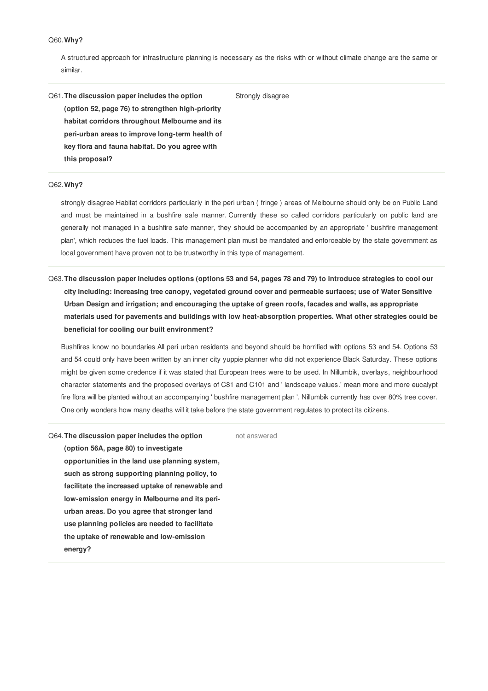# Q60.**Why?**

A structured approach for infrastructure planning is necessary as the risks with or without climate change are the same or similar.

Q61.**The discussion paper includes the option (option 52, page 76) to strengthen high-priority habitat corridors throughout Melbourne and its peri-urban areas to improve long-term health of key flora and fauna habitat. Do you agree with this proposal?** Strongly disagree

# Q62.**Why?**

strongly disagree Habitat corridors particularly in the peri urban ( fringe ) areas of Melbourne should only be on Public Land and must be maintained in a bushfire safe manner. Currently these so called corridors particularly on public land are generally not managed in a bushfire safe manner, they should be accompanied by an appropriate ' bushfire management plan', which reduces the fuel loads. This management plan must be mandated and enforceable by the state government as local government have proven not to be trustworthy in this type of management.

Q63. The discussion paper includes options (options 53 and 54, pages 78 and 79) to introduce strategies to cool our **city including: increasing tree canopy, vegetated ground cover and permeable surfaces; use of Water Sensitive Urban Design and irrigation; and encouraging the uptake of green roofs, facades and walls, as appropriate materials used for pavements and buildings with low heat-absorption properties. What other strategies could be beneficial for cooling our built environment?**

Bushfires know no boundaries All peri urban residents and beyond should be horrified with options 53 and 54. Options 53 and 54 could only have been written by an inner city yuppie planner who did not experience Black Saturday. These options might be given some credence if it was stated that European trees were to be used. In Nillumbik, overlays, neighbourhood character statements and the proposed overlays of C81 and C101 and ' landscape values.' mean more and more eucalypt fire flora will be planted without an accompanying ' bushfire management plan '. Nillumbik currently has over 80% tree cover. One only wonders how many deaths will it take before the state government regulates to protect its citizens.

Q64.**The discussion paper includes the option (option 56A, page 80) to investigate opportunities in the land use planning system, such as strong supporting planning policy, to facilitate the increased uptake of renewable and low-emission energy in Melbourne and its periurban areas. Do you agree that stronger land use planning policies are needed to facilitate the uptake of renewable and low-emission energy?**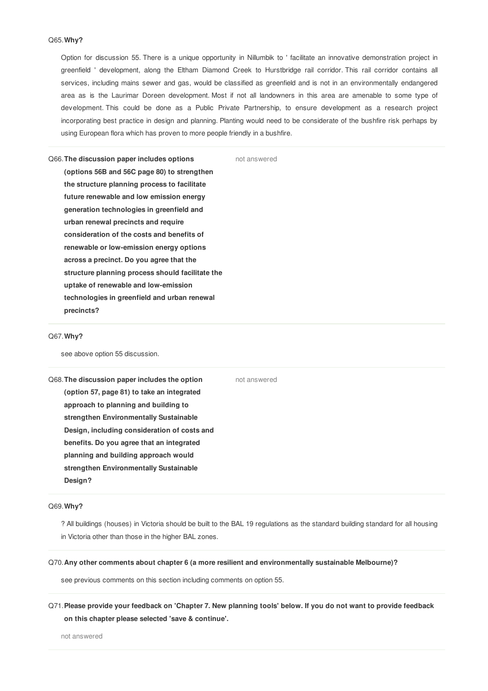# Q65.**Why?**

Option for discussion 55. There is a unique opportunity in Nillumbik to ' facilitate an innovative demonstration project in greenfield ' development, along the Eltham Diamond Creek to Hurstbridge rail corridor. This rail corridor contains all services, including mains sewer and gas, would be classified as greenfield and is not in an environmentally endangered area as is the Laurimar Doreen development. Most if not all landowners in this area are amenable to some type of development. This could be done as a Public Private Partnership, to ensure development as a research project incorporating best practice in design and planning. Planting would need to be considerate of the bushfire risk perhaps by using European flora which has proven to more people friendly in a bushfire.

not answered

Q66.**The discussion paper includes options (options 56B and 56C page 80) to strengthen the structure planning process to facilitate future renewable and low emission energy generation technologies in greenfield and urban renewal precincts and require consideration of the costs and benefits of renewable or low-emission energy options across a precinct. Do you agree that the structure planning process should facilitate the uptake of renewable and low-emission technologies in greenfield and urban renewal precincts?**

# Q67.**Why?**

see above option 55 discussion.

Q68.**The discussion paper includes the option (option 57, page 81) to take an integrated approach to planning and building to strengthen Environmentally Sustainable Design, including consideration of costs and benefits. Do you agree that an integrated planning and building approach would strengthen Environmentally Sustainable Design?**

#### Q69.**Why?**

? All buildings (houses) in Victoria should be built to the BAL 19 regulations as the standard building standard for all housing in Victoria other than those in the higher BAL zones.

not answered

#### Q70.**Any other comments about chapter 6 (a more resilient and environmentally sustainable Melbourne)?**

see previous comments on this section including comments on option 55.

Q71. Please provide your feedback on 'Chapter 7. New planning tools' below. If you do not want to provide feedback **on this chapter please selected 'save & continue'.**